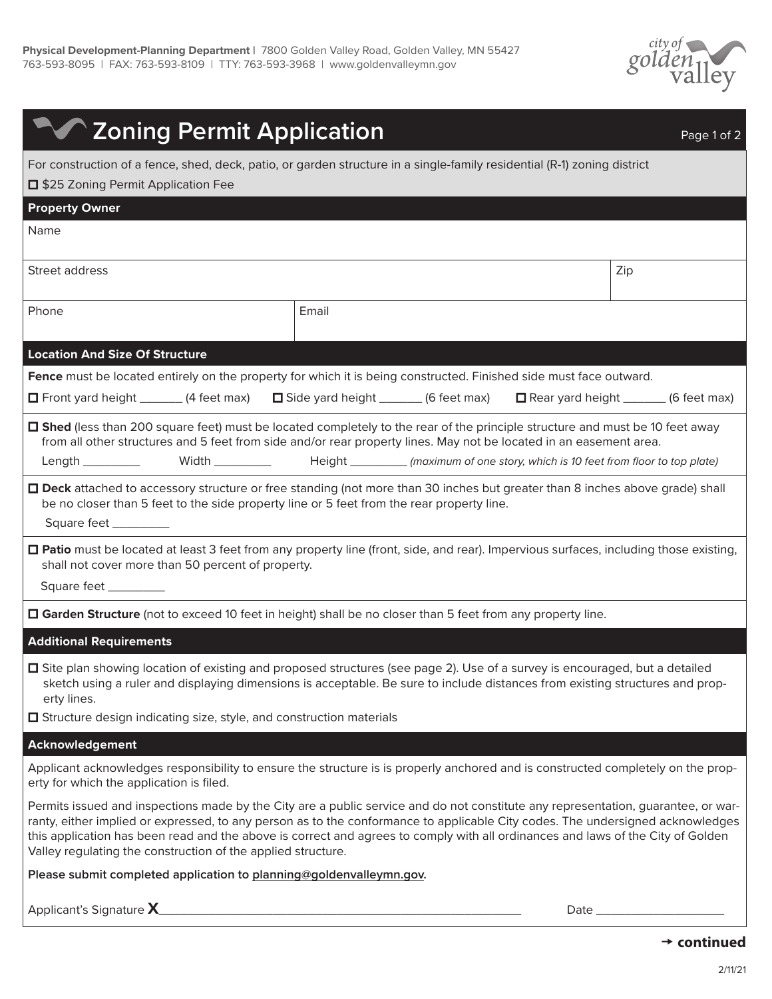

| <b>The Zoning Permit Application</b>                                                                                                                                                                                                                                                                                                                                                                                                                                   |           | Page 1 of 2 |
|------------------------------------------------------------------------------------------------------------------------------------------------------------------------------------------------------------------------------------------------------------------------------------------------------------------------------------------------------------------------------------------------------------------------------------------------------------------------|-----------|-------------|
| For construction of a fence, shed, deck, patio, or garden structure in a single-family residential (R-1) zoning district                                                                                                                                                                                                                                                                                                                                               |           |             |
| <b>I</b> \$25 Zoning Permit Application Fee                                                                                                                                                                                                                                                                                                                                                                                                                            |           |             |
| <b>Property Owner</b>                                                                                                                                                                                                                                                                                                                                                                                                                                                  |           |             |
| Name                                                                                                                                                                                                                                                                                                                                                                                                                                                                   |           |             |
| Street address                                                                                                                                                                                                                                                                                                                                                                                                                                                         |           | Zip         |
| Phone                                                                                                                                                                                                                                                                                                                                                                                                                                                                  | Email     |             |
| <b>Location And Size Of Structure</b>                                                                                                                                                                                                                                                                                                                                                                                                                                  |           |             |
| Fence must be located entirely on the property for which it is being constructed. Finished side must face outward.                                                                                                                                                                                                                                                                                                                                                     |           |             |
| $\Box$ Front yard height ______ (4 feet max) $\Box$ Side yard height ______ (6 feet max) $\Box$ Rear yard height ______ (6 feet max)                                                                                                                                                                                                                                                                                                                                   |           |             |
| □ Shed (less than 200 square feet) must be located completely to the rear of the principle structure and must be 10 feet away<br>from all other structures and 5 feet from side and/or rear property lines. May not be located in an easement area.<br>Length _________ Width ________ Height _______ (maximum of one story, which is 10 feet from floor to top plate)                                                                                                 |           |             |
| □ Deck attached to accessory structure or free standing (not more than 30 inches but greater than 8 inches above grade) shall<br>be no closer than 5 feet to the side property line or 5 feet from the rear property line.<br>Square feet ________                                                                                                                                                                                                                     |           |             |
| □ Patio must be located at least 3 feet from any property line (front, side, and rear). Impervious surfaces, including those existing,<br>shall not cover more than 50 percent of property.<br>Square feet __________                                                                                                                                                                                                                                                  |           |             |
| □ Garden Structure (not to exceed 10 feet in height) shall be no closer than 5 feet from any property line.                                                                                                                                                                                                                                                                                                                                                            |           |             |
| <b>Additional Requirements</b>                                                                                                                                                                                                                                                                                                                                                                                                                                         |           |             |
| □ Site plan showing location of existing and proposed structures (see page 2). Use of a survey is encouraged, but a detailed<br>sketch using a ruler and displaying dimensions is acceptable. Be sure to include distances from existing structures and prop-<br>erty lines.                                                                                                                                                                                           |           |             |
| $\Box$ Structure design indicating size, style, and construction materials                                                                                                                                                                                                                                                                                                                                                                                             |           |             |
| Acknowledgement                                                                                                                                                                                                                                                                                                                                                                                                                                                        |           |             |
| Applicant acknowledges responsibility to ensure the structure is is properly anchored and is constructed completely on the prop-<br>erty for which the application is filed.                                                                                                                                                                                                                                                                                           |           |             |
| Permits issued and inspections made by the City are a public service and do not constitute any representation, guarantee, or war-<br>ranty, either implied or expressed, to any person as to the conformance to applicable City codes. The undersigned acknowledges<br>this application has been read and the above is correct and agrees to comply with all ordinances and laws of the City of Golden<br>Valley regulating the construction of the applied structure. |           |             |
| Please submit completed application to planning@goldenvalleymn.gov.                                                                                                                                                                                                                                                                                                                                                                                                    |           |             |
| Applicant's Signature X                                                                                                                                                                                                                                                                                                                                                                                                                                                | Date $\_$ |             |

## **continued**